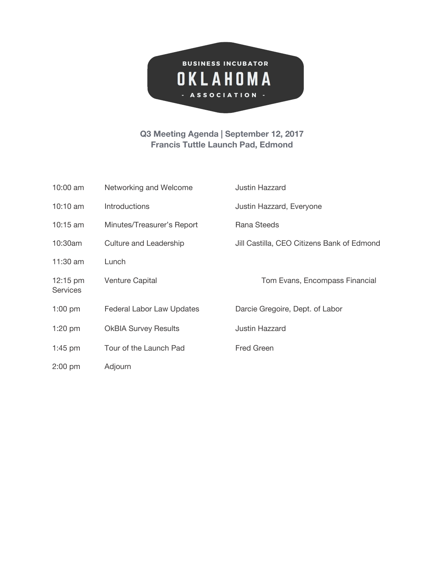

## **Q3 Meeting Agenda | September 12, 2017 Francis Tuttle Launch Pad, Edmond**

| $10:00$ am                            | Networking and Welcome      | <b>Justin Hazzard</b>                      |
|---------------------------------------|-----------------------------|--------------------------------------------|
| 10:10 $am$                            | <b>Introductions</b>        | Justin Hazzard, Everyone                   |
| $10:15$ am                            | Minutes/Treasurer's Report  | Rana Steeds                                |
| 10:30am                               | Culture and Leadership      | Jill Castilla, CEO Citizens Bank of Edmond |
| 11:30 am                              | Lunch                       |                                            |
| $12:15 \text{ pm}$<br><b>Services</b> | <b>Venture Capital</b>      | Tom Evans, Encompass Financial             |
| $1:00$ pm                             | Federal Labor Law Updates   | Darcie Gregoire, Dept. of Labor            |
| $1:20$ pm                             | <b>OkBIA Survey Results</b> | <b>Justin Hazzard</b>                      |
| $1:45$ pm                             | Tour of the Launch Pad      | <b>Fred Green</b>                          |
| $2:00$ pm                             | Adjourn                     |                                            |